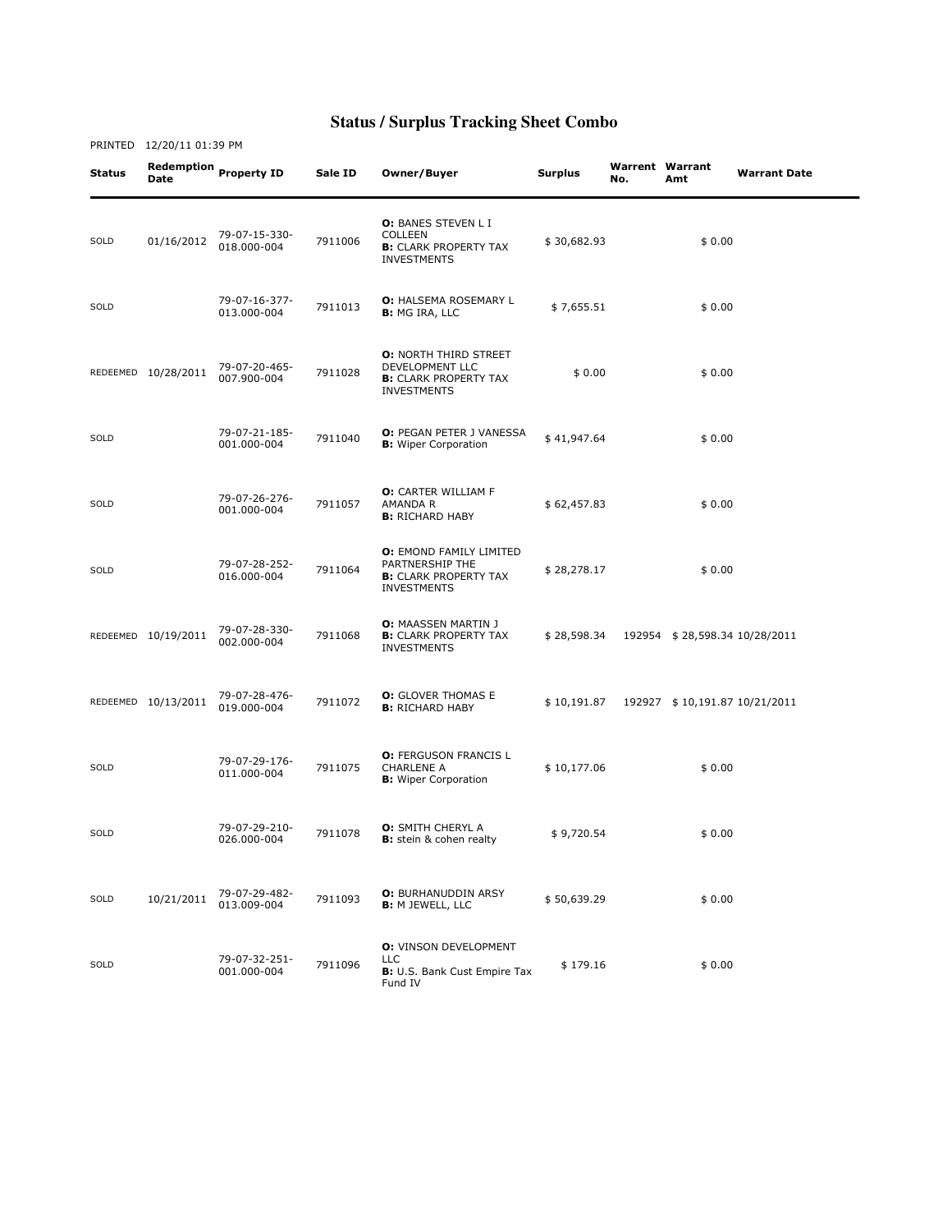## **Status / Surplus Tracking Sheet Combo**

| Status | Redemption<br><b>Date</b> | <b>Property ID</b>           | Sale ID | Owner/Buyer                                                                                             | <b>Surplus</b> | No. | <b>Warrent Warrant</b><br>Amt | <b>Warrant Date</b> |
|--------|---------------------------|------------------------------|---------|---------------------------------------------------------------------------------------------------------|----------------|-----|-------------------------------|---------------------|
| SOLD   | 01/16/2012                | 79-07-15-330-<br>018.000-004 | 7911006 | O: BANES STEVEN L I<br><b>COLLEEN</b><br><b>B:</b> CLARK PROPERTY TAX<br><b>INVESTMENTS</b>             | \$30,682.93    |     | \$0.00                        |                     |
| SOLD   |                           | 79-07-16-377-<br>013.000-004 | 7911013 | <b>O: HALSEMA ROSEMARY L</b><br><b>B:</b> MG IRA, LLC                                                   | \$7,655.51     |     | \$0.00                        |                     |
|        | REDEEMED 10/28/2011       | 79-07-20-465-<br>007.900-004 | 7911028 | <b>O: NORTH THIRD STREET</b><br>DEVELOPMENT LLC<br><b>B:</b> CLARK PROPERTY TAX<br><b>INVESTMENTS</b>   | \$0.00         |     | \$0.00                        |                     |
| SOLD   |                           | 79-07-21-185-<br>001.000-004 | 7911040 | O: PEGAN PETER J VANESSA<br><b>B:</b> Wiper Corporation                                                 | \$41,947.64    |     | \$0.00                        |                     |
| SOLD   |                           | 79-07-26-276-<br>001.000-004 | 7911057 | O: CARTER WILLIAM F<br>AMANDA R<br><b>B:</b> RICHARD HABY                                               | \$62,457.83    |     | \$0.00                        |                     |
| SOLD   |                           | 79-07-28-252-<br>016.000-004 | 7911064 | <b>O: EMOND FAMILY LIMITED</b><br>PARTNERSHIP THE<br><b>B:</b> CLARK PROPERTY TAX<br><b>INVESTMENTS</b> | \$28,278.17    |     | \$0.00                        |                     |
|        | REDEEMED 10/19/2011       | 79-07-28-330-<br>002.000-004 | 7911068 | <b>O:</b> MAASSEN MARTIN J<br><b>B:</b> CLARK PROPERTY TAX<br><b>INVESTMENTS</b>                        | \$28,598.34    |     | 192954 \$28,598.34 10/28/2011 |                     |
|        | REDEEMED 10/13/2011       | 79-07-28-476-<br>019.000-004 | 7911072 | <b>O:</b> GLOVER THOMAS E<br><b>B:</b> RICHARD HABY                                                     | \$10,191.87    |     | 192927 \$10,191.87 10/21/2011 |                     |
| SOLD   |                           | 79-07-29-176-<br>011.000-004 | 7911075 | <b>O: FERGUSON FRANCIS L</b><br><b>CHARLENE A</b><br><b>B:</b> Wiper Corporation                        | \$10,177.06    |     | \$0.00                        |                     |
| SOLD   |                           | 79-07-29-210-<br>026.000-004 | 7911078 | <b>O:</b> SMITH CHERYL A<br><b>B:</b> stein & cohen realty                                              | \$9,720.54     |     | \$0.00                        |                     |
| SOLD   | 10/21/2011                | 79-07-29-482-<br>013.009-004 | 7911093 | <b>O:</b> BURHANUDDIN ARSY<br><b>B:</b> M JEWELL, LLC                                                   | \$50,639.29    |     | \$0.00                        |                     |
| SOLD   |                           | 79-07-32-251-<br>001.000-004 | 7911096 | <b>O: VINSON DEVELOPMENT</b><br><b>LLC</b><br><b>B:</b> U.S. Bank Cust Empire Tax<br>Fund IV            | \$179.16       |     | \$0.00                        |                     |

PRINTED 12/20/11 01:39 PM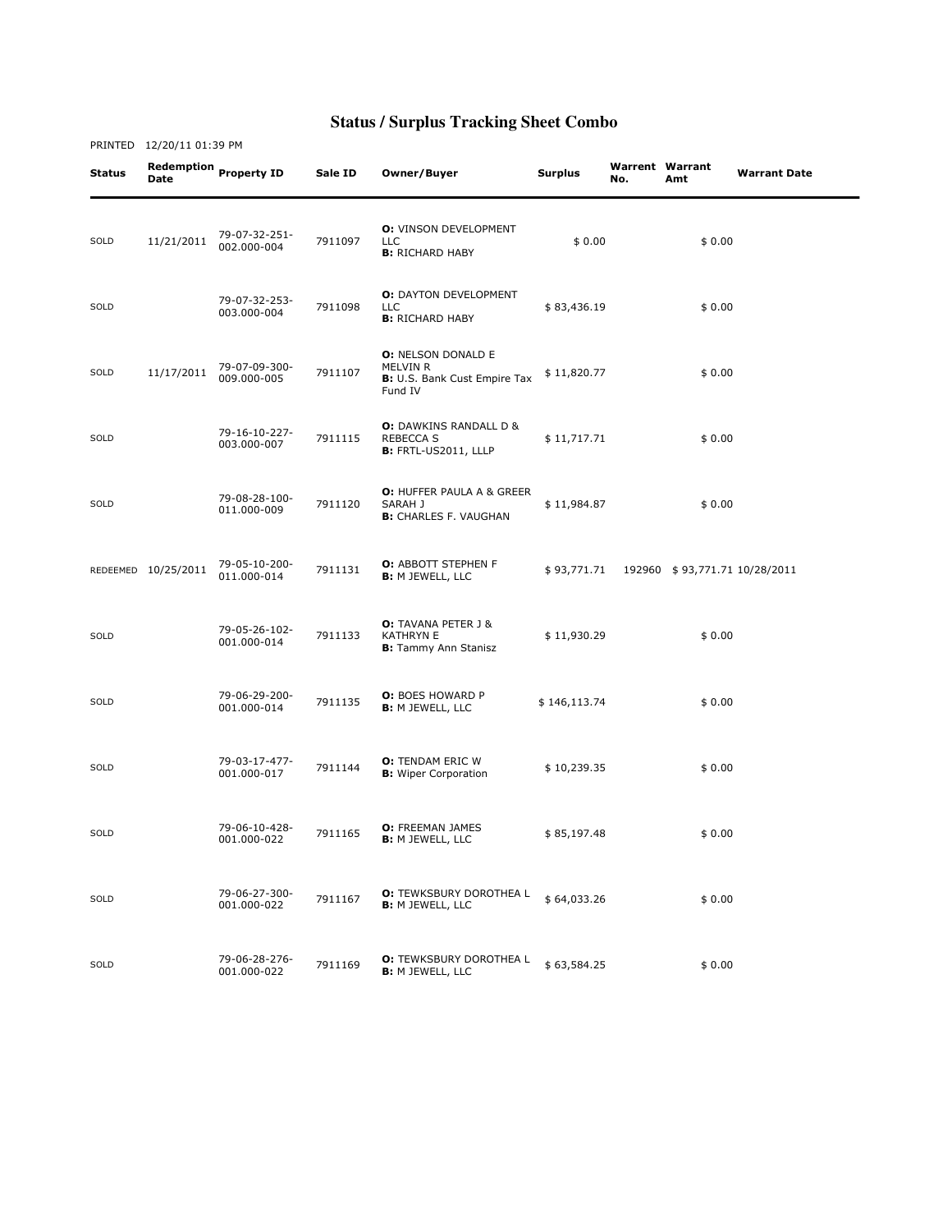## **Status / Surplus Tracking Sheet Combo**

PRINTED 12/20/11 01:39 PM

| Status | <b>Date</b>         | Redemption Property ID       | Sale ID | Owner/Buyer                                                                      | <b>Surplus</b> | <b>Warrent Warrant</b><br>No. | Amt                           | <b>Warrant Date</b> |
|--------|---------------------|------------------------------|---------|----------------------------------------------------------------------------------|----------------|-------------------------------|-------------------------------|---------------------|
| SOLD   | 11/21/2011          | 79-07-32-251-<br>002.000-004 | 7911097 | <b>O:</b> VINSON DEVELOPMENT<br><b>LLC</b><br><b>B:</b> RICHARD HABY             | \$0.00         |                               | \$0.00                        |                     |
| SOLD   |                     | 79-07-32-253-<br>003.000-004 | 7911098 | <b>O: DAYTON DEVELOPMENT</b><br><b>LLC</b><br><b>B:</b> RICHARD HABY             | \$83,436.19    |                               | \$0.00                        |                     |
| SOLD   | 11/17/2011          | 79-07-09-300-<br>009.000-005 | 7911107 | <b>O: NELSON DONALD E</b><br>MELVIN R<br>B: U.S. Bank Cust Empire Tax<br>Fund IV | \$11,820.77    |                               | \$0.00                        |                     |
| SOLD   |                     | 79-16-10-227-<br>003.000-007 | 7911115 | <b>O:</b> DAWKINS RANDALL D &<br><b>REBECCA S</b><br><b>B:</b> FRTL-US2011, LLLP | \$11,717.71    |                               | \$0.00                        |                     |
| SOLD   |                     | 79-08-28-100-<br>011.000-009 | 7911120 | <b>O: HUFFER PAULA A &amp; GREER</b><br>SARAH J<br><b>B:</b> CHARLES F. VAUGHAN  | \$11,984.87    |                               | \$0.00                        |                     |
|        | REDEEMED 10/25/2011 | 79-05-10-200-<br>011.000-014 | 7911131 | <b>O: ABBOTT STEPHEN F</b><br><b>B:</b> M JEWELL, LLC                            | \$93,771.71    |                               | 192960 \$93,771.71 10/28/2011 |                     |
| SOLD   |                     | 79-05-26-102-<br>001.000-014 | 7911133 | <b>O:</b> TAVANA PETER J &<br><b>KATHRYN E</b><br><b>B:</b> Tammy Ann Stanisz    | \$11,930.29    |                               | \$0.00                        |                     |
| SOLD   |                     | 79-06-29-200-<br>001.000-014 | 7911135 | <b>O:</b> BOES HOWARD P<br><b>B: M JEWELL, LLC</b>                               | \$146,113.74   |                               | \$0.00                        |                     |
| SOLD   |                     | 79-03-17-477-<br>001.000-017 | 7911144 | <b>O:</b> TENDAM ERIC W<br><b>B:</b> Wiper Corporation                           | \$10,239.35    |                               | \$0.00                        |                     |
| SOLD   |                     | 79-06-10-428-<br>001.000-022 | 7911165 | <b>O:</b> FREEMAN JAMES<br><b>B:</b> M JEWELL, LLC                               | \$85,197.48    |                               | \$0.00                        |                     |
| SOLD   |                     | 79-06-27-300-<br>001.000-022 | 7911167 | <b>O:</b> TEWKSBURY DOROTHEA L<br><b>B: M JEWELL, LLC</b>                        | \$64,033.26    |                               | \$0.00                        |                     |
| SOLD   |                     | 79-06-28-276-<br>001.000-022 | 7911169 | <b>O:</b> TEWKSBURY DOROTHEA L<br><b>B: M JEWELL, LLC</b>                        | \$63,584.25    |                               | \$0.00                        |                     |